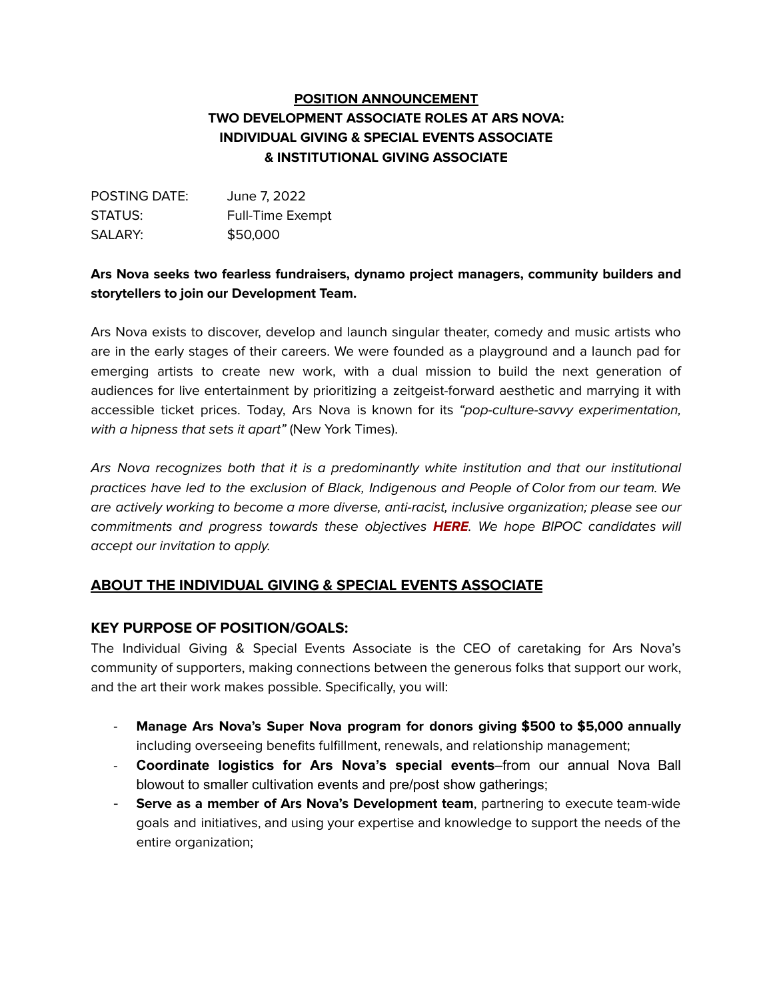# **POSITION ANNOUNCEMENT TWO DEVELOPMENT ASSOCIATE ROLES AT ARS NOVA: INDIVIDUAL GIVING & SPECIAL EVENTS ASSOCIATE & INSTITUTIONAL GIVING ASSOCIATE**

| POSTING DATE: | June 7, 2022            |
|---------------|-------------------------|
| STATUS:       | <b>Full-Time Exempt</b> |
| SALARY:       | \$50,000                |

#### **Ars Nova seeks two fearless fundraisers, dynamo project managers, community builders and storytellers to join our Development Team.**

Ars Nova exists to discover, develop and launch singular theater, comedy and music artists who are in the early stages of their careers. We were founded as a playground and a launch pad for emerging artists to create new work, with a dual mission to build the next generation of audiences for live entertainment by prioritizing a zeitgeist-forward aesthetic and marrying it with accessible ticket prices. Today, Ars Nova is known for its "pop-culture-savvy experimentation, with a hipness that sets it apart" (New York Times).

Ars Nova recognizes both that it is a predominantly white institution and that our institutional practices have led to the exclusion of Black, Indigenous and People of Color from our team. We are actively working to become a more diverse, anti-racist, inclusive organization; please see our commitments and progress towards these objectives **[HERE](https://arsnovanyc.com/accountability)**. We hope BIPOC candidates will accept our invitation to apply.

### **ABOUT THE INDIVIDUAL GIVING & SPECIAL EVENTS ASSOCIATE**

#### **KEY PURPOSE OF POSITION/GOALS:**

The Individual Giving & Special Events Associate is the CEO of caretaking for Ars Nova's community of supporters, making connections between the generous folks that support our work, and the art their work makes possible. Specifically, you will:

- **Manage Ars Nova's Super Nova program for donors giving \$500 to \$5,000 annually** including overseeing benefits fulfillment, renewals, and relationship management;
- **Coordinate logistics for Ars Nova's special events**–from our annual Nova Ball blowout to smaller cultivation events and pre/post show gatherings;
- **Serve as a member of Ars Nova's Development team**, partnering to execute team-wide goals and initiatives, and using your expertise and knowledge to support the needs of the entire organization;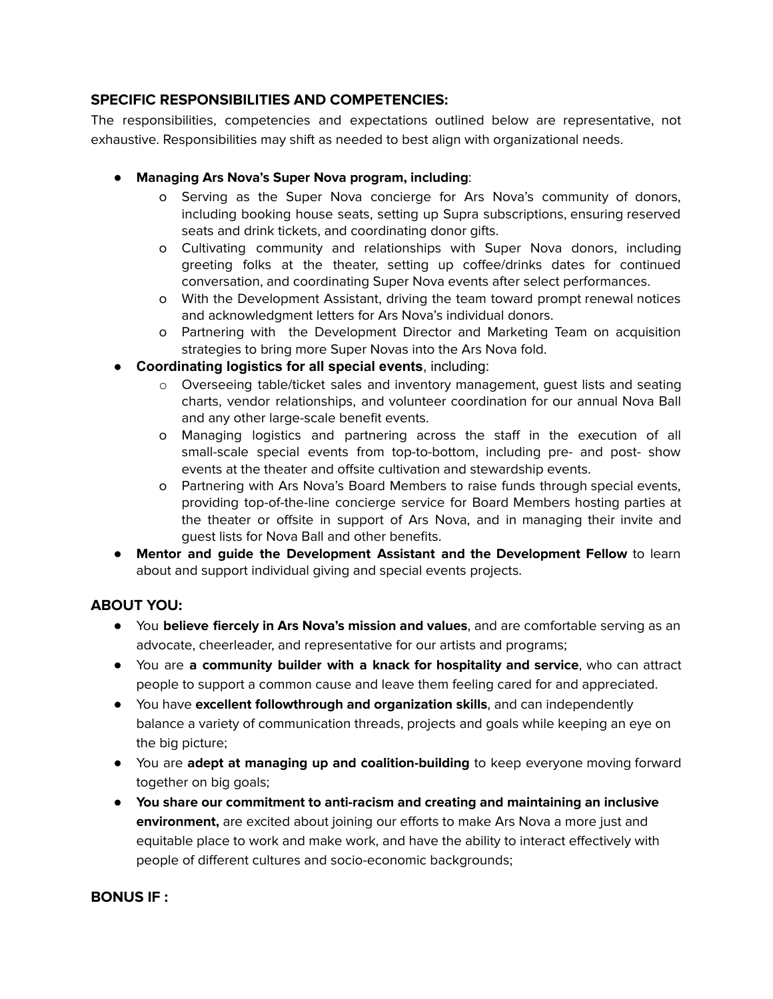#### **SPECIFIC RESPONSIBILITIES AND COMPETENCIES:**

The responsibilities, competencies and expectations outlined below are representative, not exhaustive. Responsibilities may shift as needed to best align with organizational needs.

- **Managing Ars Nova's Super Nova program, including**:
	- o Serving as the Super Nova concierge for Ars Nova's community of donors, including booking house seats, setting up Supra subscriptions, ensuring reserved seats and drink tickets, and coordinating donor gifts.
	- o Cultivating community and relationships with Super Nova donors, including greeting folks at the theater, setting up coffee/drinks dates for continued conversation, and coordinating Super Nova events after select performances.
	- o With the Development Assistant, driving the team toward prompt renewal notices and acknowledgment letters for Ars Nova's individual donors.
	- o Partnering with the Development Director and Marketing Team on acquisition strategies to bring more Super Novas into the Ars Nova fold.
- **Coordinating logistics for all special events**, including:
	- o Overseeing table/ticket sales and inventory management, guest lists and seating charts, vendor relationships, and volunteer coordination for our annual Nova Ball and any other large-scale benefit events.
	- o Managing logistics and partnering across the staff in the execution of all small-scale special events from top-to-bottom, including pre- and post- show events at the theater and offsite cultivation and stewardship events.
	- o Partnering with Ars Nova's Board Members to raise funds through special events, providing top-of-the-line concierge service for Board Members hosting parties at the theater or offsite in support of Ars Nova, and in managing their invite and guest lists for Nova Ball and other benefits.
- **Mentor and guide the Development Assistant and the Development Fellow** to learn about and support individual giving and special events projects.

### **ABOUT YOU:**

- You **believe fiercely in Ars Nova's mission and values**, and are comfortable serving as an advocate, cheerleader, and representative for our artists and programs;
- You are **a community builder with a knack for hospitality and service**, who can attract people to support a common cause and leave them feeling cared for and appreciated.
- You have **excellent followthrough and organization skills**, and can independently balance a variety of communication threads, projects and goals while keeping an eye on the big picture;
- You are **adept at managing up and coalition-building** to keep everyone moving forward together on big goals;
- **You share our commitment to anti-racism and creating and maintaining an inclusive environment,** are excited about joining our efforts to make Ars Nova a more just and equitable place to work and make work, and have the ability to interact effectively with people of different cultures and socio-economic backgrounds;

### **BONUS IF :**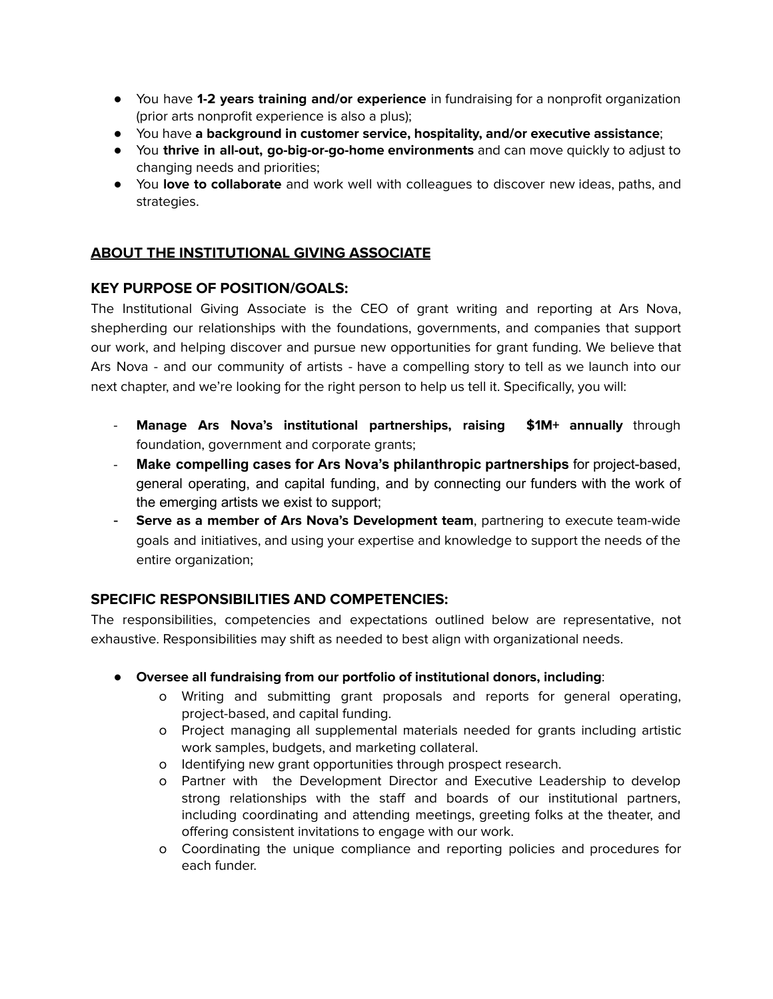- You have **1-2 years training and/or experience** in fundraising for a nonprofit organization (prior arts nonprofit experience is also a plus);
- You have **a background in customer service, hospitality, and/or executive assistance**;
- You **thrive in all-out, go-big-or-go-home environments** and can move quickly to adjust to changing needs and priorities;
- You **love to collaborate** and work well with colleagues to discover new ideas, paths, and strategies.

# **ABOUT THE INSTITUTIONAL GIVING ASSOCIATE**

#### **KEY PURPOSE OF POSITION/GOALS:**

The Institutional Giving Associate is the CEO of grant writing and reporting at Ars Nova, shepherding our relationships with the foundations, governments, and companies that support our work, and helping discover and pursue new opportunities for grant funding. We believe that Ars Nova - and our community of artists - have a compelling story to tell as we launch into our next chapter, and we're looking for the right person to help us tell it. Specifically, you will:

- **Manage Ars Nova's institutional partnerships, raising \$1M+ annually** through foundation, government and corporate grants;
- **Make compelling cases for Ars Nova's philanthropic partnerships** for project-based, general operating, and capital funding, and by connecting our funders with the work of the emerging artists we exist to support;
- **Serve as a member of Ars Nova's Development team**, partnering to execute team-wide goals and initiatives, and using your expertise and knowledge to support the needs of the entire organization;

### **SPECIFIC RESPONSIBILITIES AND COMPETENCIES:**

The responsibilities, competencies and expectations outlined below are representative, not exhaustive. Responsibilities may shift as needed to best align with organizational needs.

- **Oversee all fundraising from our portfolio of institutional donors, including**:
	- o Writing and submitting grant proposals and reports for general operating, project-based, and capital funding.
	- o Project managing all supplemental materials needed for grants including artistic work samples, budgets, and marketing collateral.
	- o Identifying new grant opportunities through prospect research.
	- o Partner with the Development Director and Executive Leadership to develop strong relationships with the staff and boards of our institutional partners, including coordinating and attending meetings, greeting folks at the theater, and offering consistent invitations to engage with our work.
	- o Coordinating the unique compliance and reporting policies and procedures for each funder.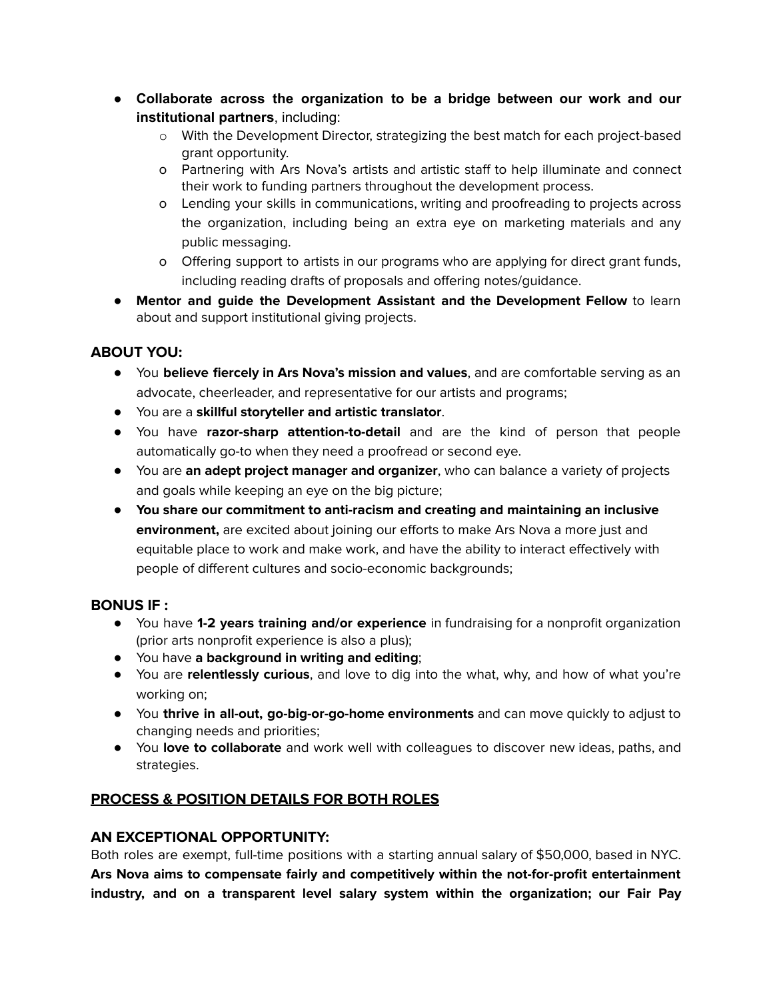- **Collaborate across the organization to be a bridge between our work and our institutional partners**, including:
	- o With the Development Director, strategizing the best match for each project-based grant opportunity.
	- o Partnering with Ars Nova's artists and artistic staff to help illuminate and connect their work to funding partners throughout the development process.
	- o Lending your skills in communications, writing and proofreading to projects across the organization, including being an extra eye on marketing materials and any public messaging.
	- o Offering support to artists in our programs who are applying for direct grant funds, including reading drafts of proposals and offering notes/guidance.
- **Mentor and guide the Development Assistant and the Development Fellow** to learn about and support institutional giving projects.

# **ABOUT YOU:**

- You **believe fiercely in Ars Nova's mission and values**, and are comfortable serving as an advocate, cheerleader, and representative for our artists and programs;
- You are a **skillful storyteller and artistic translator**.
- You have **razor-sharp attention-to-detail** and are the kind of person that people automatically go-to when they need a proofread or second eye.
- You are **an adept project manager and organizer**, who can balance a variety of projects and goals while keeping an eye on the big picture;
- **You share our commitment to anti-racism and creating and maintaining an inclusive environment,** are excited about joining our efforts to make Ars Nova a more just and equitable place to work and make work, and have the ability to interact effectively with people of different cultures and socio-economic backgrounds;

### **BONUS IF :**

- You have **1-2 years training and/or experience** in fundraising for a nonprofit organization (prior arts nonprofit experience is also a plus);
- You have **a background in writing and editing**;
- You are **relentlessly curious**, and love to dig into the what, why, and how of what you're working on;
- You **thrive in all-out, go-big-or-go-home environments** and can move quickly to adjust to changing needs and priorities;
- You **love to collaborate** and work well with colleagues to discover new ideas, paths, and strategies.

# **PROCESS & POSITION DETAILS FOR BOTH ROLES**

# **AN EXCEPTIONAL OPPORTUNITY:**

Both roles are exempt, full-time positions with a starting annual salary of \$50,000, based in NYC. **Ars Nova aims to compensate fairly and competitively within the not-for-profit entertainment industry, and on a transparent level salary system within the organization; our Fair Pay**